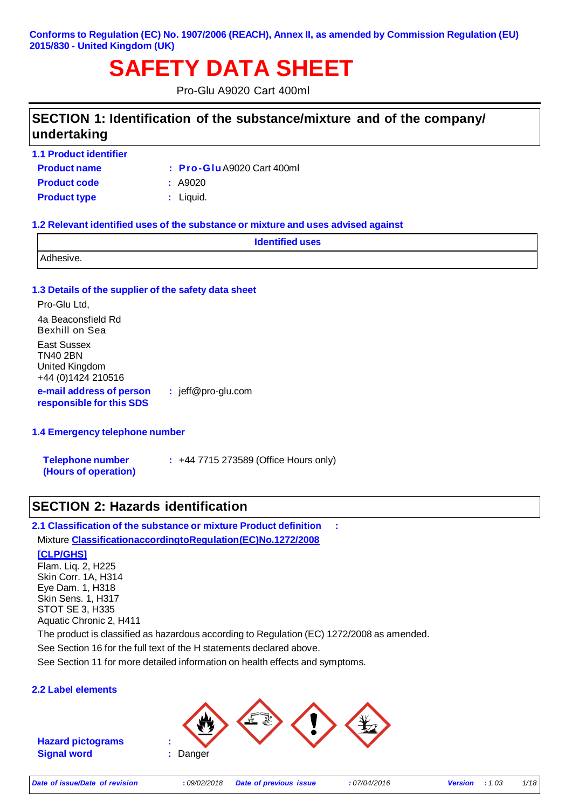#### **Conforms to Regulation (EC) No. 1907/2006 (REACH), Annex II, as amended by Commission Regulation (EU) 2015/830 - United Kingdom (UK)**

## **SAFETY DATA SHEET**

Pro-Glu A9020 Cart 400ml

### **SECTION 1: Identification of the substance/mixture and of the company/ undertaking**

**1.1 Product identifier**

**Product name : Pro-Glu**A9020 Cart 400ml

**Product code :** A9020

**Product type :** Liquid.

#### **1.2 Relevant identified uses of the substance or mixture and uses advised against**

| <b>Identified uses</b> |  |
|------------------------|--|
| $-11-$                 |  |

#### **1.3 Details of the supplier of the safety data sheet**

Pro-Glu Ltd, 4a Beaconsfield Rd Bexhill on Sea East Sussex TN40 2BN United Kingdom +44 (0)1424 210516 **e-mail address of person :** jeff@pro-glu.com

#### **1.4 Emergency telephone number**

**responsible for this SDS**

| <b>Telephone number</b> | $\div$ +44 7715 273589 (Office Hours only) |
|-------------------------|--------------------------------------------|
| (Hours of operation)    |                                            |

### **SECTION 2: Hazards identification**

**2.1 Classification of the substance or mixture Product definition :**  Mixture **ClassificationaccordingtoRegulation(EC)No.1272/2008**

#### **[CLP/GHS]**

Flam. Liq. 2, H225 Skin Corr. 1A, H314 Eye Dam. 1, H318 Skin Sens. 1, H317 STOT SE 3, H335 Aquatic Chronic 2, H411

The product is classified as hazardous according to Regulation (EC) 1272/2008 as amended.

See Section 16 for the full text of the H statements declared above.

See Section 11 for more detailed information on health effects and symptoms.

#### **2.2 Label elements**

**Hazard pictograms : Signal word :** Danger

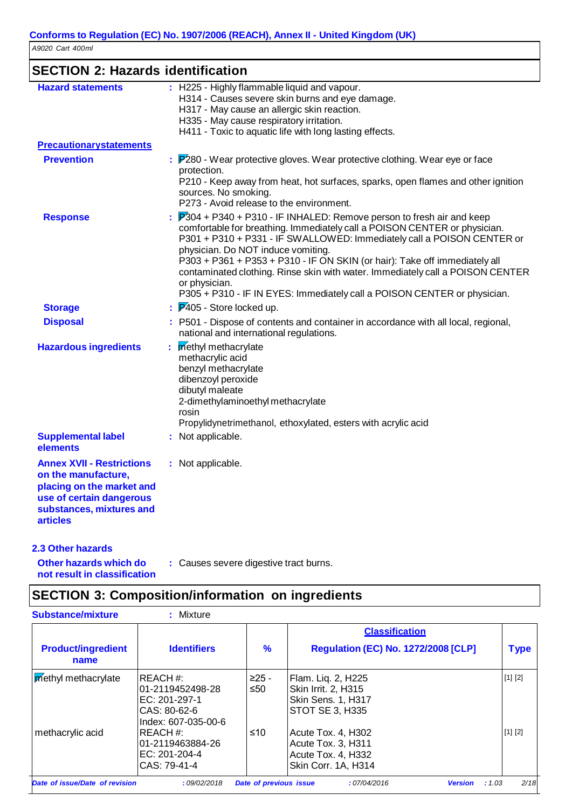| <b>SECTION 2: Hazards identification</b>                                                                                                                        |                                                                                                                                                                                                                                                                                                                                                                                                                                                                                                                                |
|-----------------------------------------------------------------------------------------------------------------------------------------------------------------|--------------------------------------------------------------------------------------------------------------------------------------------------------------------------------------------------------------------------------------------------------------------------------------------------------------------------------------------------------------------------------------------------------------------------------------------------------------------------------------------------------------------------------|
| <b>Hazard statements</b>                                                                                                                                        | : H225 - Highly flammable liquid and vapour.<br>H314 - Causes severe skin burns and eye damage.<br>H317 - May cause an allergic skin reaction.<br>H335 - May cause respiratory irritation.<br>H411 - Toxic to aquatic life with long lasting effects.                                                                                                                                                                                                                                                                          |
| <b>Precautionarystatements</b>                                                                                                                                  |                                                                                                                                                                                                                                                                                                                                                                                                                                                                                                                                |
| <b>Prevention</b>                                                                                                                                               | $\therefore$ $\mathbb{P}280$ - Wear protective gloves. Wear protective clothing. Wear eye or face<br>protection.<br>P210 - Keep away from heat, hot surfaces, sparks, open flames and other ignition<br>sources. No smoking.<br>P273 - Avoid release to the environment.                                                                                                                                                                                                                                                       |
| <b>Response</b>                                                                                                                                                 | P304 + P340 + P310 - IF INHALED: Remove person to fresh air and keep<br>comfortable for breathing. Immediately call a POISON CENTER or physician.<br>P301 + P310 + P331 - IF SWALLOWED: Immediately call a POISON CENTER or<br>physician. Do NOT induce vomiting.<br>P303 + P361 + P353 + P310 - IF ON SKIN (or hair): Take off immediately all<br>contaminated clothing. Rinse skin with water. Immediately call a POISON CENTER<br>or physician.<br>P305 + P310 - IF IN EYES: Immediately call a POISON CENTER or physician. |
| <b>Storage</b>                                                                                                                                                  | $\frac{1}{2}$ P405 - Store locked up.                                                                                                                                                                                                                                                                                                                                                                                                                                                                                          |
| <b>Disposal</b>                                                                                                                                                 | : P501 - Dispose of contents and container in accordance with all local, regional,<br>national and international regulations.                                                                                                                                                                                                                                                                                                                                                                                                  |
| <b>Hazardous ingredients</b>                                                                                                                                    | methyl methacrylate<br>methacrylic acid<br>benzyl methacrylate<br>dibenzoyl peroxide<br>dibutyl maleate<br>2-dimethylaminoethyl methacrylate<br>rosin<br>Propylidynetrimethanol, ethoxylated, esters with acrylic acid                                                                                                                                                                                                                                                                                                         |
| <b>Supplemental label</b><br>elements                                                                                                                           | : Not applicable.                                                                                                                                                                                                                                                                                                                                                                                                                                                                                                              |
| <b>Annex XVII - Restrictions</b><br>on the manufacture,<br>placing on the market and<br>use of certain dangerous<br>substances, mixtures and<br><b>articles</b> | : Not applicable.                                                                                                                                                                                                                                                                                                                                                                                                                                                                                                              |

#### **2.3 Other hazards**

**Other hazards which do not result in classification :** Causes severe digestive tract burns.

## **SECTION 3: Composition/information on ingredients**

| <b>Substance/mixture</b>          | : Mixture                                                                                   |                        |                                                                                           |                |
|-----------------------------------|---------------------------------------------------------------------------------------------|------------------------|-------------------------------------------------------------------------------------------|----------------|
|                                   |                                                                                             |                        | <b>Classification</b>                                                                     |                |
| <b>Product/ingredient</b><br>name | <b>Identifiers</b>                                                                          | %                      | <b>Regulation (EC) No. 1272/2008 [CLP]</b>                                                | <b>Type</b>    |
| methyl methacrylate               | <b>IREACH#:</b><br>01-2119452498-28<br>EC: 201-297-1<br>CAS: 80-62-6<br>Index: 607-035-00-6 | $>25 -$<br>≤50         | Flam. Liq. 2, H225<br>Skin Irrit. 2, H315<br>Skin Sens. 1, H317<br><b>STOT SE 3, H335</b> | [1] [2]        |
| methacrylic acid                  | REACH#:<br>01-2119463884-26<br>EC: 201-204-4<br>CAS: 79-41-4                                | ≤10                    | Acute Tox. 4, H302<br>Acute Tox. 3, H311<br>Acute Tox. 4. H332<br>Skin Corr. 1A, H314     | [1] [2]        |
| Date of issue/Date of revision    | :09/02/2018                                                                                 | Date of previous issue | :07/04/2016<br><b>Version</b>                                                             | 2/18<br>: 1.03 |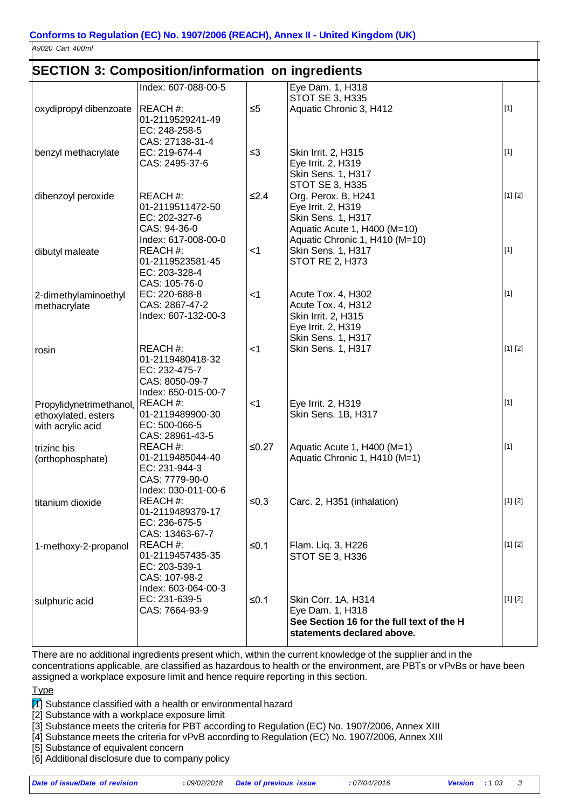### **SECTION 3: Composition/information on ingredients**

|                         | oconon o. compositionimormation on ingredients |          |                                           |         |
|-------------------------|------------------------------------------------|----------|-------------------------------------------|---------|
|                         | Index: 607-088-00-5                            |          | Eye Dam. 1, H318                          |         |
|                         |                                                |          | <b>STOT SE 3, H335</b>                    |         |
| oxydipropyl dibenzoate  | REACH#:                                        | $\leq 5$ | Aquatic Chronic 3, H412                   | $[1]$   |
|                         | 01-2119529241-49                               |          |                                           |         |
|                         | EC: 248-258-5                                  |          |                                           |         |
|                         | CAS: 27138-31-4                                |          |                                           |         |
| benzyl methacrylate     | EC: 219-674-4                                  | $\leq$ 3 | Skin Irrit. 2, H315                       | $[1]$   |
|                         | CAS: 2495-37-6                                 |          | Eye Irrit. 2, H319                        |         |
|                         |                                                |          | <b>Skin Sens. 1, H317</b>                 |         |
|                         |                                                |          | STOT SE 3, H335                           |         |
| dibenzoyl peroxide      | REACH#:                                        | $≤2.4$   | Org. Perox. B, H241                       | [1] [2] |
|                         | 01-2119511472-50                               |          | Eye Irrit. 2, H319                        |         |
|                         | EC: 202-327-6                                  |          | Skin Sens. 1, H317                        |         |
|                         | CAS: 94-36-0                                   |          | Aquatic Acute 1, H400 (M=10)              |         |
|                         | Index: 617-008-00-0                            |          | Aquatic Chronic 1, H410 (M=10)            |         |
| dibutyl maleate         | REACH#:                                        | $<$ 1    | Skin Sens. 1, H317                        | $[1]$   |
|                         | 01-2119523581-45                               |          | <b>STOT RE 2, H373</b>                    |         |
|                         | EC: 203-328-4                                  |          |                                           |         |
|                         | CAS: 105-76-0                                  |          |                                           | $[1]$   |
| 2-dimethylaminoethyl    | EC: 220-688-8<br>CAS: 2867-47-2                | $<$ 1    | Acute Tox. 4, H302                        |         |
| methacrylate            | Index: 607-132-00-3                            |          | Acute Tox. 4, H312<br>Skin Irrit. 2, H315 |         |
|                         |                                                |          | Eye Irrit. 2, H319                        |         |
|                         |                                                |          | <b>Skin Sens. 1, H317</b>                 |         |
| rosin                   | REACH#:                                        | $<$ 1    | Skin Sens. 1, H317                        | [1] [2] |
|                         | 01-2119480418-32                               |          |                                           |         |
|                         | EC: 232-475-7                                  |          |                                           |         |
|                         | CAS: 8050-09-7                                 |          |                                           |         |
|                         | Index: 650-015-00-7                            |          |                                           |         |
| Propylidynetrimethanol, | REACH#:                                        | $<$ 1    | Eye Irrit. 2, H319                        | $[1]$   |
| ethoxylated, esters     | 01-2119489900-30                               |          | Skin Sens. 1B, H317                       |         |
| with acrylic acid       | EC: 500-066-5                                  |          |                                           |         |
|                         | CAS: 28961-43-5                                |          |                                           |         |
| trizinc bis             | REACH#:                                        | $≤0.27$  | Aquatic Acute 1, H400 (M=1)               | $[1]$   |
| (orthophosphate)        | 01-2119485044-40                               |          | Aquatic Chronic 1, H410 (M=1)             |         |
|                         | EC: 231-944-3                                  |          |                                           |         |
|                         | CAS: 7779-90-0                                 |          |                                           |         |
|                         | Index: 030-011-00-6                            |          |                                           |         |
| titanium dioxide        | REACH#:                                        | ≤ $0.3$  | Carc. 2, H351 (inhalation)                | [1] [2] |
|                         | 01-2119489379-17                               |          |                                           |         |
|                         | EC: 236-675-5                                  |          |                                           |         |
|                         | CAS: 13463-67-7                                |          |                                           |         |
| 1-methoxy-2-propanol    | REACH#:                                        | $≤0.1$   | Flam. Liq. 3, H226                        | [1] [2] |
|                         | 01-2119457435-35                               |          | STOT SE 3, H336                           |         |
|                         | EC: 203-539-1                                  |          |                                           |         |
|                         | CAS: 107-98-2                                  |          |                                           |         |
|                         | Index: 603-064-00-3                            |          |                                           |         |
| sulphuric acid          | EC: 231-639-5                                  | $≤0.1$   | Skin Corr. 1A, H314                       | [1] [2] |
|                         | CAS: 7664-93-9                                 |          | Eye Dam. 1, H318                          |         |
|                         |                                                |          | See Section 16 for the full text of the H |         |
|                         |                                                |          | statements declared above.                |         |
|                         |                                                |          |                                           |         |

There are no additional ingredients present which, within the current knowledge of the supplier and in the concentrations applicable, are classified as hazardous to health or the environment, are PBTs or vPvBs or have been assigned a workplace exposure limit and hence require reporting in this section.

**Type** 

 $\mathbb{N}$ ] Substance classified with a health or environmental hazard

[2] Substance with a workplace exposure limit

[3] Substance meets the criteria for PBT according to Regulation (EC) No. 1907/2006, Annex XIII

[4] Substance meets the criteria for vPvB according to Regulation (EC) No. 1907/2006, Annex XIII

[5] Substance of equivalent concern

[6] Additional disclosure due to company policy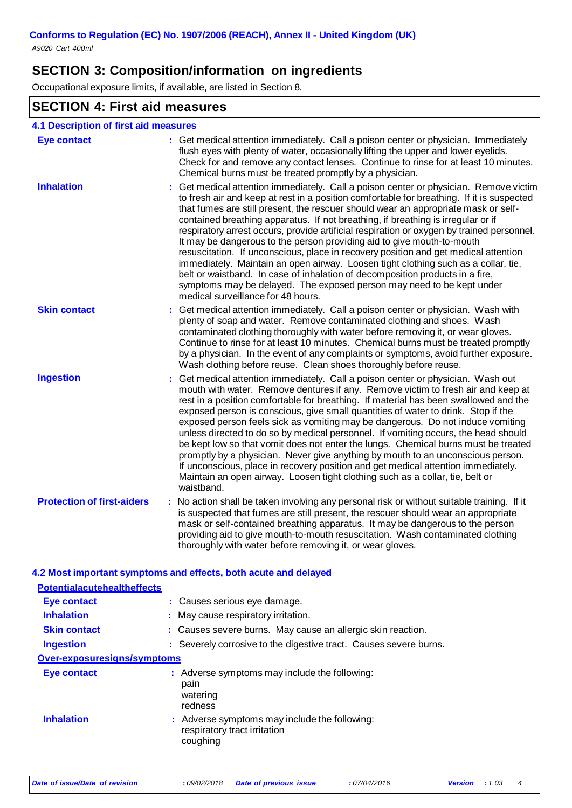### **SECTION 3: Composition/information on ingredients**

Occupational exposure limits, if available, are listed in Section 8.

### **SECTION 4: First aid measures**

| <b>Eye contact</b>                | : Get medical attention immediately. Call a poison center or physician. Immediately                                                                                                                                                                                                                                                                                                                                                                                                                                                                                                                                                                                                                                                                                                                                                                                                                            |
|-----------------------------------|----------------------------------------------------------------------------------------------------------------------------------------------------------------------------------------------------------------------------------------------------------------------------------------------------------------------------------------------------------------------------------------------------------------------------------------------------------------------------------------------------------------------------------------------------------------------------------------------------------------------------------------------------------------------------------------------------------------------------------------------------------------------------------------------------------------------------------------------------------------------------------------------------------------|
|                                   | flush eyes with plenty of water, occasionally lifting the upper and lower eyelids.<br>Check for and remove any contact lenses. Continue to rinse for at least 10 minutes.<br>Chemical burns must be treated promptly by a physician.                                                                                                                                                                                                                                                                                                                                                                                                                                                                                                                                                                                                                                                                           |
| <b>Inhalation</b>                 | Get medical attention immediately. Call a poison center or physician. Remove victim<br>to fresh air and keep at rest in a position comfortable for breathing. If it is suspected<br>that fumes are still present, the rescuer should wear an appropriate mask or self-<br>contained breathing apparatus. If not breathing, if breathing is irregular or if<br>respiratory arrest occurs, provide artificial respiration or oxygen by trained personnel.<br>It may be dangerous to the person providing aid to give mouth-to-mouth<br>resuscitation. If unconscious, place in recovery position and get medical attention<br>immediately. Maintain an open airway. Loosen tight clothing such as a collar, tie,<br>belt or waistband. In case of inhalation of decomposition products in a fire,<br>symptoms may be delayed. The exposed person may need to be kept under<br>medical surveillance for 48 hours. |
| <b>Skin contact</b>               | : Get medical attention immediately. Call a poison center or physician. Wash with<br>plenty of soap and water. Remove contaminated clothing and shoes. Wash<br>contaminated clothing thoroughly with water before removing it, or wear gloves.<br>Continue to rinse for at least 10 minutes. Chemical burns must be treated promptly<br>by a physician. In the event of any complaints or symptoms, avoid further exposure.<br>Wash clothing before reuse. Clean shoes thoroughly before reuse.                                                                                                                                                                                                                                                                                                                                                                                                                |
| <b>Ingestion</b>                  | : Get medical attention immediately. Call a poison center or physician. Wash out<br>mouth with water. Remove dentures if any. Remove victim to fresh air and keep at<br>rest in a position comfortable for breathing. If material has been swallowed and the<br>exposed person is conscious, give small quantities of water to drink. Stop if the<br>exposed person feels sick as vomiting may be dangerous. Do not induce vomiting<br>unless directed to do so by medical personnel. If vomiting occurs, the head should<br>be kept low so that vomit does not enter the lungs. Chemical burns must be treated<br>promptly by a physician. Never give anything by mouth to an unconscious person.<br>If unconscious, place in recovery position and get medical attention immediately.<br>Maintain an open airway. Loosen tight clothing such as a collar, tie, belt or<br>waistband.                         |
| <b>Protection of first-aiders</b> | : No action shall be taken involving any personal risk or without suitable training. If it<br>is suspected that fumes are still present, the rescuer should wear an appropriate<br>mask or self-contained breathing apparatus. It may be dangerous to the person<br>providing aid to give mouth-to-mouth resuscitation. Wash contaminated clothing<br>thoroughly with water before removing it, or wear gloves.                                                                                                                                                                                                                                                                                                                                                                                                                                                                                                |

#### **4.2 Most important symptoms and effects, both acute and delayed**

| <b>Potentialacutehealtheffects</b> |                                                                                           |
|------------------------------------|-------------------------------------------------------------------------------------------|
| Eye contact                        | : Causes serious eye damage.                                                              |
| <b>Inhalation</b>                  | : May cause respiratory irritation.                                                       |
| <b>Skin contact</b>                | : Causes severe burns. May cause an allergic skin reaction.                               |
| <b>Ingestion</b>                   | : Severely corrosive to the digestive tract. Causes severe burns.                         |
| Over-exposuresigns/symptoms        |                                                                                           |
| Eye contact                        | : Adverse symptoms may include the following:<br>pain<br>watering<br>redness              |
| <b>Inhalation</b>                  | : Adverse symptoms may include the following:<br>respiratory tract irritation<br>coughing |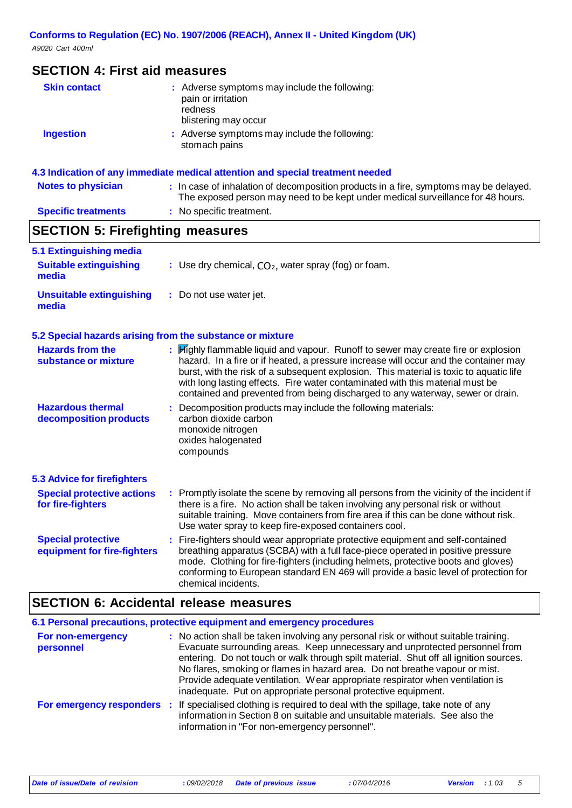### **SECTION 4: First aid measures**

| <b>Skin contact</b>        | : Adverse symptoms may include the following:<br>pain or irritation<br>redness<br>blistering may occur                                                                   |
|----------------------------|--------------------------------------------------------------------------------------------------------------------------------------------------------------------------|
| <b>Ingestion</b>           | : Adverse symptoms may include the following:<br>stomach pains                                                                                                           |
|                            | 4.3 Indication of any immediate medical attention and special treatment needed                                                                                           |
| <b>Notes to physician</b>  | : In case of inhalation of decomposition products in a fire, symptoms may be delayed.<br>The exposed person may need to be kept under medical surveillance for 48 hours. |
| <b>Specific treatments</b> | : No specific treatment.                                                                                                                                                 |

# **SECTION 5: Firefighting measures**

| 5.1 Extinguishing media<br><b>Suitable extinguishing</b><br>media | : Use dry chemical, $CO2$ , water spray (fog) or foam.                                                                                                                                                                                                                                                                                                                                                                                  |
|-------------------------------------------------------------------|-----------------------------------------------------------------------------------------------------------------------------------------------------------------------------------------------------------------------------------------------------------------------------------------------------------------------------------------------------------------------------------------------------------------------------------------|
| <b>Unsuitable extinguishing</b><br>media                          | : Do not use water jet.                                                                                                                                                                                                                                                                                                                                                                                                                 |
| 5.2 Special hazards arising from the substance or mixture         |                                                                                                                                                                                                                                                                                                                                                                                                                                         |
| <b>Hazards from the</b><br>substance or mixture                   | : Highly flammable liquid and vapour. Runoff to sewer may create fire or explosion<br>hazard. In a fire or if heated, a pressure increase will occur and the container may<br>burst, with the risk of a subsequent explosion. This material is toxic to aquatic life<br>with long lasting effects. Fire water contaminated with this material must be<br>contained and prevented from being discharged to any waterway, sewer or drain. |
| <b>Hazardous thermal</b><br>decomposition products                | : Decomposition products may include the following materials:<br>carbon dioxide carbon<br>monoxide nitrogen<br>oxides halogenated<br>compounds                                                                                                                                                                                                                                                                                          |
| 5.3 Advice for firefighters                                       |                                                                                                                                                                                                                                                                                                                                                                                                                                         |
| <b>Special protective actions</b><br>for fire-fighters            | : Promptly isolate the scene by removing all persons from the vicinity of the incident if<br>there is a fire. No action shall be taken involving any personal risk or without<br>suitable training. Move containers from fire area if this can be done without risk.<br>Use water spray to keep fire-exposed containers cool.                                                                                                           |
| <b>Special protective</b><br>equipment for fire-fighters          | : Fire-fighters should wear appropriate protective equipment and self-contained<br>breathing apparatus (SCBA) with a full face-piece operated in positive pressure<br>mode. Clothing for fire-fighters (including helmets, protective boots and gloves)<br>conforming to European standard EN 469 will provide a basic level of protection for<br>chemical incidents.                                                                   |

### **SECTION 6: Accidental release measures**

|                                | 6.1 Personal precautions, protective equipment and emergency procedures                                                                                                                                                                                                                                                                                                                                                                                                                       |
|--------------------------------|-----------------------------------------------------------------------------------------------------------------------------------------------------------------------------------------------------------------------------------------------------------------------------------------------------------------------------------------------------------------------------------------------------------------------------------------------------------------------------------------------|
| For non-emergency<br>personnel | : No action shall be taken involving any personal risk or without suitable training.<br>Evacuate surrounding areas. Keep unnecessary and unprotected personnel from<br>entering. Do not touch or walk through spilt material. Shut off all ignition sources.<br>No flares, smoking or flames in hazard area. Do not breathe vapour or mist.<br>Provide adequate ventilation. Wear appropriate respirator when ventilation is<br>inadequate. Put on appropriate personal protective equipment. |
|                                | For emergency responders : If specialised clothing is required to deal with the spillage, take note of any<br>information in Section 8 on suitable and unsuitable materials. See also the<br>information in "For non-emergency personnel".                                                                                                                                                                                                                                                    |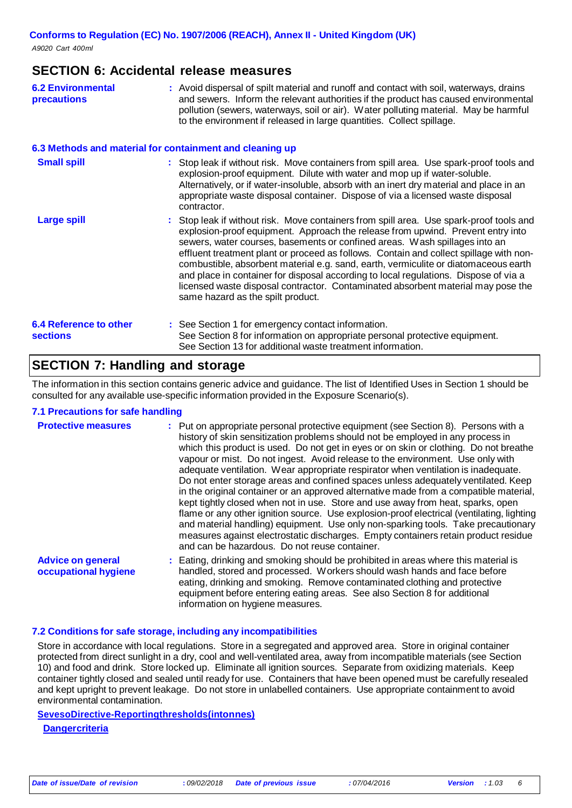### **SECTION 6: Accidental release measures**

| <b>6.2 Environmental</b> | : Avoid dispersal of spilt material and runoff and contact with soil, waterways, drains |
|--------------------------|-----------------------------------------------------------------------------------------|
| <b>precautions</b>       | and sewers. Inform the relevant authorities if the product has caused environmental     |
|                          | pollution (sewers, waterways, soil or air). Water polluting material. May be harmful    |
|                          | to the environment if released in large quantities. Collect spillage.                   |

#### **6.3 Methods and material for containment and cleaning up**

| <b>Small spill</b>            | : Stop leak if without risk. Move containers from spill area. Use spark-proof tools and<br>explosion-proof equipment. Dilute with water and mop up if water-soluble.<br>Alternatively, or if water-insoluble, absorb with an inert dry material and place in an<br>appropriate waste disposal container. Dispose of via a licensed waste disposal<br>contractor.                                                                                                                                                                                                                                                                                           |
|-------------------------------|------------------------------------------------------------------------------------------------------------------------------------------------------------------------------------------------------------------------------------------------------------------------------------------------------------------------------------------------------------------------------------------------------------------------------------------------------------------------------------------------------------------------------------------------------------------------------------------------------------------------------------------------------------|
| <b>Large spill</b>            | : Stop leak if without risk. Move containers from spill area. Use spark-proof tools and<br>explosion-proof equipment. Approach the release from upwind. Prevent entry into<br>sewers, water courses, basements or confined areas. Wash spillages into an<br>effluent treatment plant or proceed as follows. Contain and collect spillage with non-<br>combustible, absorbent material e.g. sand, earth, vermiculite or diatomaceous earth<br>and place in container for disposal according to local regulations. Dispose of via a<br>licensed waste disposal contractor. Contaminated absorbent material may pose the<br>same hazard as the spilt product. |
| <b>6.4 Reference to other</b> | : See Section 1 for emergency contact information.                                                                                                                                                                                                                                                                                                                                                                                                                                                                                                                                                                                                         |
| <b>sections</b>               | See Section 8 for information on appropriate personal protective equipment.<br>See Section 13 for additional waste treatment information.                                                                                                                                                                                                                                                                                                                                                                                                                                                                                                                  |

### **SECTION 7: Handling and storage**

The information in this section contains generic advice and guidance. The list of Identified Uses in Section 1 should be consulted for any available use-specific information provided in the Exposure Scenario(s).

#### **7.1 Precautions for safe handling**

| <b>Protective measures</b>                       | : Put on appropriate personal protective equipment (see Section 8). Persons with a<br>history of skin sensitization problems should not be employed in any process in<br>which this product is used. Do not get in eyes or on skin or clothing. Do not breathe<br>vapour or mist. Do not ingest. Avoid release to the environment. Use only with<br>adequate ventilation. Wear appropriate respirator when ventilation is inadequate.<br>Do not enter storage areas and confined spaces unless adequately ventilated. Keep<br>in the original container or an approved alternative made from a compatible material,<br>kept tightly closed when not in use. Store and use away from heat, sparks, open<br>flame or any other ignition source. Use explosion-proof electrical (ventilating, lighting<br>and material handling) equipment. Use only non-sparking tools. Take precautionary<br>measures against electrostatic discharges. Empty containers retain product residue<br>and can be hazardous. Do not reuse container. |
|--------------------------------------------------|---------------------------------------------------------------------------------------------------------------------------------------------------------------------------------------------------------------------------------------------------------------------------------------------------------------------------------------------------------------------------------------------------------------------------------------------------------------------------------------------------------------------------------------------------------------------------------------------------------------------------------------------------------------------------------------------------------------------------------------------------------------------------------------------------------------------------------------------------------------------------------------------------------------------------------------------------------------------------------------------------------------------------------|
| <b>Advice on general</b><br>occupational hygiene | : Eating, drinking and smoking should be prohibited in areas where this material is<br>handled, stored and processed. Workers should wash hands and face before<br>eating, drinking and smoking. Remove contaminated clothing and protective<br>equipment before entering eating areas. See also Section 8 for additional<br>information on hygiene measures.                                                                                                                                                                                                                                                                                                                                                                                                                                                                                                                                                                                                                                                                   |

#### **7.2 Conditions for safe storage, including any incompatibilities**

Store in accordance with local regulations. Store in a segregated and approved area. Store in original container protected from direct sunlight in a dry, cool and well-ventilated area, away from incompatible materials (see Section 10) and food and drink. Store locked up. Eliminate all ignition sources. Separate from oxidizing materials. Keep container tightly closed and sealed until ready for use. Containers that have been opened must be carefully resealed and kept upright to prevent leakage. Do not store in unlabelled containers. Use appropriate containment to avoid environmental contamination.

#### **SevesoDirective-Reportingthresholds(intonnes)**

**Dangercriteria**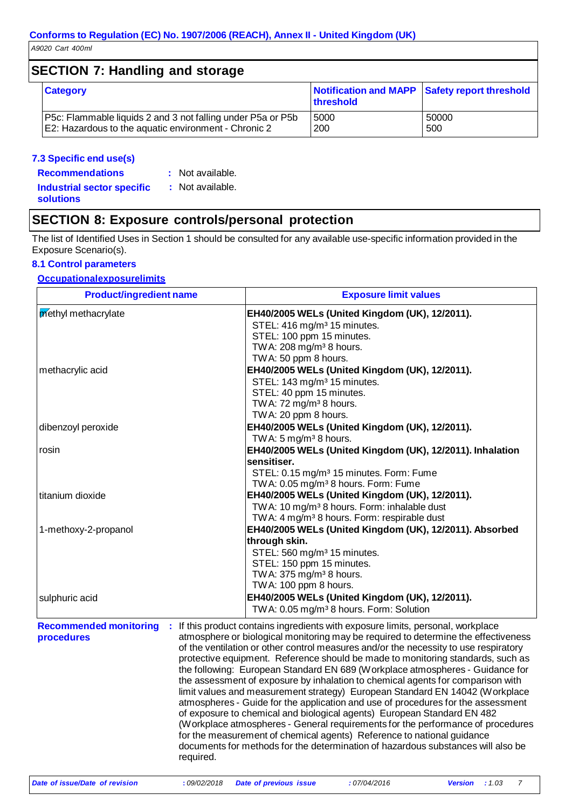### **SECTION 7: Handling and storage**

| <b>Category</b>                                             | Notification and MAPP Safety report threshold<br><b>Ithreshold</b> |       |
|-------------------------------------------------------------|--------------------------------------------------------------------|-------|
| P5c: Flammable liquids 2 and 3 not falling under P5a or P5b | 5000                                                               | 50000 |
| E2: Hazardous to the aquatic environment - Chronic 2        | 200                                                                | 500   |

#### **7.3 Specific end use(s)**

**Recommendations :** Not available. **Industrial sector specific solutions :** Not available.

### **SECTION 8: Exposure controls/personal protection**

The list of Identified Uses in Section 1 should be consulted for any available use-specific information provided in the Exposure Scenario(s).

#### **8.1 Control parameters**

#### **Occupationalexposurelimits**

| <b>Product/ingredient name</b>                           | <b>Exposure limit values</b>                                                                                                                                                                                                                                                                                                                                                                                                                                                                                                                                                                                                                                                                                                                                                                                                                                                                                                                                                                                          |  |  |  |
|----------------------------------------------------------|-----------------------------------------------------------------------------------------------------------------------------------------------------------------------------------------------------------------------------------------------------------------------------------------------------------------------------------------------------------------------------------------------------------------------------------------------------------------------------------------------------------------------------------------------------------------------------------------------------------------------------------------------------------------------------------------------------------------------------------------------------------------------------------------------------------------------------------------------------------------------------------------------------------------------------------------------------------------------------------------------------------------------|--|--|--|
| methyl methacrylate                                      | EH40/2005 WELs (United Kingdom (UK), 12/2011).                                                                                                                                                                                                                                                                                                                                                                                                                                                                                                                                                                                                                                                                                                                                                                                                                                                                                                                                                                        |  |  |  |
|                                                          | STEL: 416 mg/m <sup>3</sup> 15 minutes.                                                                                                                                                                                                                                                                                                                                                                                                                                                                                                                                                                                                                                                                                                                                                                                                                                                                                                                                                                               |  |  |  |
|                                                          | STEL: 100 ppm 15 minutes.                                                                                                                                                                                                                                                                                                                                                                                                                                                                                                                                                                                                                                                                                                                                                                                                                                                                                                                                                                                             |  |  |  |
|                                                          | TWA: 208 mg/m <sup>3</sup> 8 hours.                                                                                                                                                                                                                                                                                                                                                                                                                                                                                                                                                                                                                                                                                                                                                                                                                                                                                                                                                                                   |  |  |  |
|                                                          | TWA: 50 ppm 8 hours.                                                                                                                                                                                                                                                                                                                                                                                                                                                                                                                                                                                                                                                                                                                                                                                                                                                                                                                                                                                                  |  |  |  |
| methacrylic acid                                         | EH40/2005 WELs (United Kingdom (UK), 12/2011).                                                                                                                                                                                                                                                                                                                                                                                                                                                                                                                                                                                                                                                                                                                                                                                                                                                                                                                                                                        |  |  |  |
|                                                          | STEL: 143 mg/m <sup>3</sup> 15 minutes.                                                                                                                                                                                                                                                                                                                                                                                                                                                                                                                                                                                                                                                                                                                                                                                                                                                                                                                                                                               |  |  |  |
|                                                          | STEL: 40 ppm 15 minutes.<br>TWA: 72 mg/m <sup>3</sup> 8 hours.                                                                                                                                                                                                                                                                                                                                                                                                                                                                                                                                                                                                                                                                                                                                                                                                                                                                                                                                                        |  |  |  |
|                                                          | TWA: 20 ppm 8 hours.                                                                                                                                                                                                                                                                                                                                                                                                                                                                                                                                                                                                                                                                                                                                                                                                                                                                                                                                                                                                  |  |  |  |
| dibenzoyl peroxide                                       | EH40/2005 WELs (United Kingdom (UK), 12/2011).                                                                                                                                                                                                                                                                                                                                                                                                                                                                                                                                                                                                                                                                                                                                                                                                                                                                                                                                                                        |  |  |  |
|                                                          | TWA: $5 \text{ mg/m}^3$ 8 hours.                                                                                                                                                                                                                                                                                                                                                                                                                                                                                                                                                                                                                                                                                                                                                                                                                                                                                                                                                                                      |  |  |  |
| rosin                                                    | EH40/2005 WELs (United Kingdom (UK), 12/2011). Inhalation                                                                                                                                                                                                                                                                                                                                                                                                                                                                                                                                                                                                                                                                                                                                                                                                                                                                                                                                                             |  |  |  |
|                                                          | sensitiser.                                                                                                                                                                                                                                                                                                                                                                                                                                                                                                                                                                                                                                                                                                                                                                                                                                                                                                                                                                                                           |  |  |  |
|                                                          | STEL: 0.15 mg/m <sup>3</sup> 15 minutes. Form: Fume                                                                                                                                                                                                                                                                                                                                                                                                                                                                                                                                                                                                                                                                                                                                                                                                                                                                                                                                                                   |  |  |  |
|                                                          | TWA: 0.05 mg/m <sup>3</sup> 8 hours. Form: Fume                                                                                                                                                                                                                                                                                                                                                                                                                                                                                                                                                                                                                                                                                                                                                                                                                                                                                                                                                                       |  |  |  |
| titanium dioxide                                         | EH40/2005 WELs (United Kingdom (UK), 12/2011).                                                                                                                                                                                                                                                                                                                                                                                                                                                                                                                                                                                                                                                                                                                                                                                                                                                                                                                                                                        |  |  |  |
|                                                          | TWA: 10 mg/m <sup>3</sup> 8 hours. Form: inhalable dust                                                                                                                                                                                                                                                                                                                                                                                                                                                                                                                                                                                                                                                                                                                                                                                                                                                                                                                                                               |  |  |  |
|                                                          | TWA: 4 mg/m <sup>3</sup> 8 hours. Form: respirable dust                                                                                                                                                                                                                                                                                                                                                                                                                                                                                                                                                                                                                                                                                                                                                                                                                                                                                                                                                               |  |  |  |
| 1-methoxy-2-propanol                                     | EH40/2005 WELs (United Kingdom (UK), 12/2011). Absorbed                                                                                                                                                                                                                                                                                                                                                                                                                                                                                                                                                                                                                                                                                                                                                                                                                                                                                                                                                               |  |  |  |
|                                                          | through skin.                                                                                                                                                                                                                                                                                                                                                                                                                                                                                                                                                                                                                                                                                                                                                                                                                                                                                                                                                                                                         |  |  |  |
|                                                          | STEL: 560 mg/m <sup>3</sup> 15 minutes.                                                                                                                                                                                                                                                                                                                                                                                                                                                                                                                                                                                                                                                                                                                                                                                                                                                                                                                                                                               |  |  |  |
|                                                          | STEL: 150 ppm 15 minutes.                                                                                                                                                                                                                                                                                                                                                                                                                                                                                                                                                                                                                                                                                                                                                                                                                                                                                                                                                                                             |  |  |  |
|                                                          | TWA: 375 mg/m <sup>3</sup> 8 hours.                                                                                                                                                                                                                                                                                                                                                                                                                                                                                                                                                                                                                                                                                                                                                                                                                                                                                                                                                                                   |  |  |  |
|                                                          | TWA: 100 ppm 8 hours.                                                                                                                                                                                                                                                                                                                                                                                                                                                                                                                                                                                                                                                                                                                                                                                                                                                                                                                                                                                                 |  |  |  |
| sulphuric acid                                           | EH40/2005 WELs (United Kingdom (UK), 12/2011).                                                                                                                                                                                                                                                                                                                                                                                                                                                                                                                                                                                                                                                                                                                                                                                                                                                                                                                                                                        |  |  |  |
|                                                          | TWA: 0.05 mg/m <sup>3</sup> 8 hours. Form: Solution                                                                                                                                                                                                                                                                                                                                                                                                                                                                                                                                                                                                                                                                                                                                                                                                                                                                                                                                                                   |  |  |  |
| <b>Recommended monitoring</b><br>procedures<br>required. | : If this product contains ingredients with exposure limits, personal, workplace<br>atmosphere or biological monitoring may be required to determine the effectiveness<br>of the ventilation or other control measures and/or the necessity to use respiratory<br>protective equipment. Reference should be made to monitoring standards, such as<br>the following: European Standard EN 689 (Workplace atmospheres - Guidance for<br>the assessment of exposure by inhalation to chemical agents for comparison with<br>limit values and measurement strategy) European Standard EN 14042 (Workplace<br>atmospheres - Guide for the application and use of procedures for the assessment<br>of exposure to chemical and biological agents) European Standard EN 482<br>(Workplace atmospheres - General requirements for the performance of procedures<br>for the measurement of chemical agents) Reference to national guidance<br>documents for methods for the determination of hazardous substances will also be |  |  |  |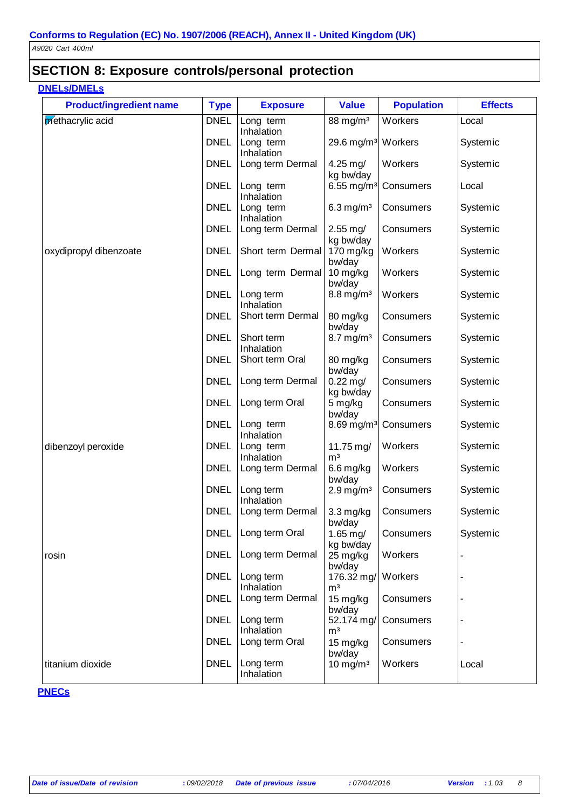### **SECTION 8: Exposure controls/personal protection**

### **DNELs/DMELs**

| <b>Product/ingredient name</b> | <b>Type</b> | <b>Exposure</b>          | <b>Value</b>                   | <b>Population</b> | <b>Effects</b> |
|--------------------------------|-------------|--------------------------|--------------------------------|-------------------|----------------|
| methacrylic acid               | <b>DNEL</b> | Long term<br>Inhalation  | $88 \text{ mg/m}^3$            | Workers           | Local          |
|                                | <b>DNEL</b> | Long term<br>Inhalation  | 29.6 mg/m <sup>3</sup> Workers |                   | Systemic       |
|                                | <b>DNEL</b> | Long term Dermal         | $4.25 \text{ mg}$<br>kg bw/day | Workers           | Systemic       |
|                                | <b>DNEL</b> | Long term<br>Inhalation  | 6.55 mg/m <sup>3</sup>         | Consumers         | Local          |
|                                | <b>DNEL</b> | Long term<br>Inhalation  | $6.3$ mg/m <sup>3</sup>        | Consumers         | Systemic       |
|                                | <b>DNEL</b> | Long term Dermal         | $2.55$ mg/<br>kg bw/day        | Consumers         | Systemic       |
| oxydipropyl dibenzoate         | <b>DNEL</b> | Short term Dermal        | $170$ mg/kg<br>bw/day          | Workers           | Systemic       |
|                                | <b>DNEL</b> | Long term Dermal         | $10$ mg/kg<br>bw/day           | Workers           | Systemic       |
|                                | <b>DNEL</b> | Long term<br>Inhalation  | $8.8$ mg/m <sup>3</sup>        | Workers           | Systemic       |
|                                | <b>DNEL</b> | Short term Dermal        | 80 mg/kg<br>bw/day             | Consumers         | Systemic       |
|                                | <b>DNEL</b> | Short term<br>Inhalation | $8.7 \text{ mg/m}^3$           | Consumers         | Systemic       |
|                                | <b>DNEL</b> | Short term Oral          | 80 mg/kg<br>bw/day             | Consumers         | Systemic       |
|                                | <b>DNEL</b> | Long term Dermal         | $0.22$ mg/<br>kg bw/day        | Consumers         | Systemic       |
|                                | <b>DNEL</b> | Long term Oral           | 5 mg/kg<br>bw/day              | Consumers         | Systemic       |
|                                | <b>DNEL</b> | Long term<br>Inhalation  | 8.69 mg/m <sup>3</sup>         | Consumers         | Systemic       |
| dibenzoyl peroxide             | <b>DNEL</b> | Long term<br>Inhalation  | 11.75 mg/<br>m <sup>3</sup>    | Workers           | Systemic       |
|                                | <b>DNEL</b> | Long term Dermal         | $6.6$ mg/kg<br>bw/day          | Workers           | Systemic       |
|                                | <b>DNEL</b> | Long term<br>Inhalation  | $2.9$ mg/m <sup>3</sup>        | Consumers         | Systemic       |
|                                | <b>DNEL</b> | Long term Dermal         | $3.3$ mg/kg<br>bw/day          | Consumers         | Systemic       |
|                                | <b>DNEL</b> | Long term Oral           | $1.65$ mg/<br>kg bw/day        | Consumers         | Systemic       |
| rosin                          | <b>DNEL</b> | Long term Dermal         | 25 mg/kg<br>bw/day             | Workers           |                |
|                                | <b>DNEL</b> | Long term<br>Inhalation  | 176.32 mg/<br>m <sup>3</sup>   | Workers           |                |
|                                | <b>DNEL</b> | Long term Dermal         | $15$ mg/kg<br>bw/day           | Consumers         |                |
|                                | <b>DNEL</b> | Long term<br>Inhalation  | 52.174 mg/<br>m <sup>3</sup>   | Consumers         |                |
|                                | <b>DNEL</b> | Long term Oral           | 15 mg/kg<br>bw/day             | Consumers         |                |
| titanium dioxide               | <b>DNEL</b> | Long term<br>Inhalation  | $10$ mg/m <sup>3</sup>         | Workers           | Local          |

#### **PNECs**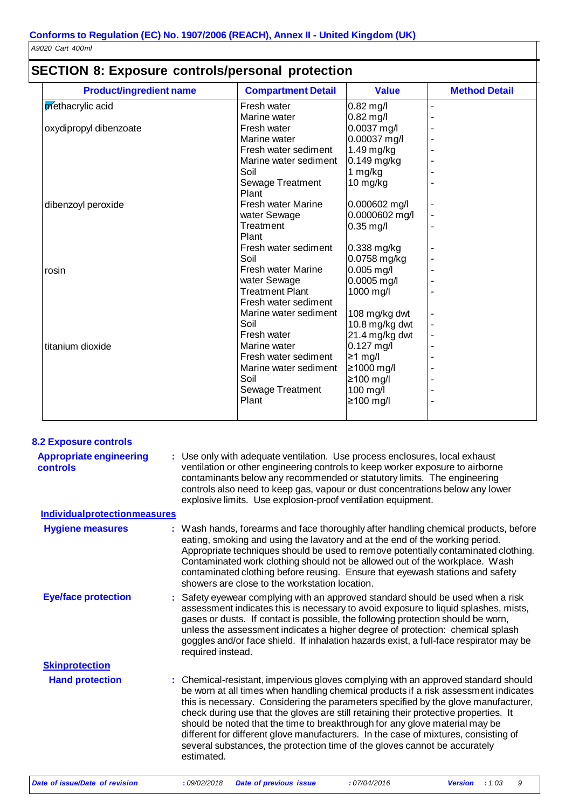| <b>Product/ingredient name</b> | <b>Compartment Detail</b> | <b>Value</b>     | <b>Method Detail</b> |
|--------------------------------|---------------------------|------------------|----------------------|
| methacrylic acid               | Fresh water               | $0.82$ mg/l      |                      |
|                                | Marine water              | $0.82$ mg/l      |                      |
| oxydipropyl dibenzoate         | Fresh water               | 0.0037 mg/l      |                      |
|                                | Marine water              | 0.00037 mg/l     |                      |
|                                | Fresh water sediment      | $1.49$ mg/kg     |                      |
|                                | Marine water sediment     | $0.149$ mg/kg    |                      |
|                                | Soil                      | 1 mg/kg          |                      |
|                                | Sewage Treatment          | $10$ mg/kg       |                      |
|                                | Plant                     |                  |                      |
| dibenzoyl peroxide             | Fresh water Marine        | 0.000602 mg/l    |                      |
|                                | water Sewage              | 0.0000602 mg/l   |                      |
|                                | Treatment                 | $0.35$ mg/l      |                      |
|                                | Plant                     |                  |                      |
|                                | Fresh water sediment      | 0.338 mg/kg      |                      |
|                                | Soil                      | 0.0758 mg/kg     |                      |
| rosin                          | <b>Fresh water Marine</b> | $0.005$ mg/l     |                      |
|                                | water Sewage              | $0.0005$ mg/l    |                      |
|                                | <b>Treatment Plant</b>    | 1000 mg/l        |                      |
|                                | Fresh water sediment      |                  |                      |
|                                | Marine water sediment     | 108 mg/kg dwt    |                      |
|                                | Soil                      | 10.8 mg/kg dwt   |                      |
|                                | Fresh water               | 21.4 mg/kg dwt   |                      |
| titanium dioxide               | Marine water              | $0.127$ mg/l     |                      |
|                                | Fresh water sediment      | $\geq 1$ mg/l    |                      |
|                                | Marine water sediment     | $\geq 1000$ mg/l |                      |
|                                | Soil                      | $\geq$ 100 mg/l  |                      |
|                                | <b>Sewage Treatment</b>   | 100 mg/l         |                      |
|                                | Plant                     | $\geq 100$ mg/l  |                      |

|  | <b>SECTION 8: Exposure controls/personal protection</b> |  |
|--|---------------------------------------------------------|--|
|--|---------------------------------------------------------|--|

| <b>8.2 Exposure controls</b>               |                                                                                                                                                                                                                                                                                                                                                                                                                                                                                                                                                                                                                           |
|--------------------------------------------|---------------------------------------------------------------------------------------------------------------------------------------------------------------------------------------------------------------------------------------------------------------------------------------------------------------------------------------------------------------------------------------------------------------------------------------------------------------------------------------------------------------------------------------------------------------------------------------------------------------------------|
| <b>Appropriate engineering</b><br>controls | : Use only with adequate ventilation. Use process enclosures, local exhaust<br>ventilation or other engineering controls to keep worker exposure to airborne<br>contaminants below any recommended or statutory limits. The engineering<br>controls also need to keep gas, vapour or dust concentrations below any lower<br>explosive limits. Use explosion-proof ventilation equipment.                                                                                                                                                                                                                                  |
| <b>Individualprotectionmeasures</b>        |                                                                                                                                                                                                                                                                                                                                                                                                                                                                                                                                                                                                                           |
| <b>Hygiene measures</b>                    | : Wash hands, forearms and face thoroughly after handling chemical products, before<br>eating, smoking and using the lavatory and at the end of the working period.<br>Appropriate techniques should be used to remove potentially contaminated clothing.<br>Contaminated work clothing should not be allowed out of the workplace. Wash<br>contaminated clothing before reusing. Ensure that eyewash stations and safety<br>showers are close to the workstation location.                                                                                                                                               |
| <b>Eye/face protection</b>                 | : Safety eyewear complying with an approved standard should be used when a risk<br>assessment indicates this is necessary to avoid exposure to liquid splashes, mists,<br>gases or dusts. If contact is possible, the following protection should be worn,<br>unless the assessment indicates a higher degree of protection: chemical splash<br>goggles and/or face shield. If inhalation hazards exist, a full-face respirator may be<br>required instead.                                                                                                                                                               |
| <b>Skinprotection</b>                      |                                                                                                                                                                                                                                                                                                                                                                                                                                                                                                                                                                                                                           |
| <b>Hand protection</b>                     | : Chemical-resistant, impervious gloves complying with an approved standard should<br>be worn at all times when handling chemical products if a risk assessment indicates<br>this is necessary. Considering the parameters specified by the glove manufacturer,<br>check during use that the gloves are still retaining their protective properties. It<br>should be noted that the time to breakthrough for any glove material may be<br>different for different glove manufacturers. In the case of mixtures, consisting of<br>several substances, the protection time of the gloves cannot be accurately<br>estimated. |
|                                            |                                                                                                                                                                                                                                                                                                                                                                                                                                                                                                                                                                                                                           |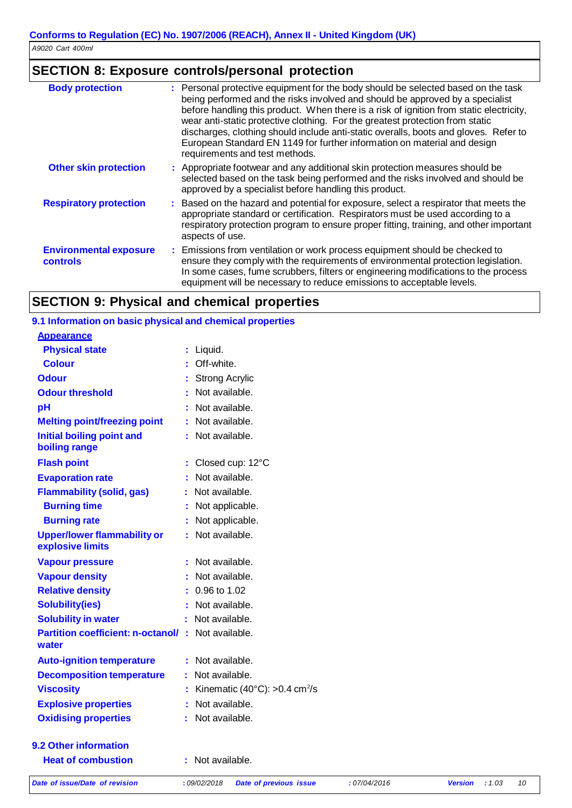### **SECTION 8: Exposure controls/personal protection**

| <b>Body protection</b>                    | : Personal protective equipment for the body should be selected based on the task<br>being performed and the risks involved and should be approved by a specialist<br>before handling this product. When there is a risk of ignition from static electricity,<br>wear anti-static protective clothing. For the greatest protection from static<br>discharges, clothing should include anti-static overalls, boots and gloves. Refer to<br>European Standard EN 1149 for further information on material and design<br>requirements and test methods. |
|-------------------------------------------|------------------------------------------------------------------------------------------------------------------------------------------------------------------------------------------------------------------------------------------------------------------------------------------------------------------------------------------------------------------------------------------------------------------------------------------------------------------------------------------------------------------------------------------------------|
| <b>Other skin protection</b>              | : Appropriate footwear and any additional skin protection measures should be<br>selected based on the task being performed and the risks involved and should be<br>approved by a specialist before handling this product.                                                                                                                                                                                                                                                                                                                            |
| <b>Respiratory protection</b>             | : Based on the hazard and potential for exposure, select a respirator that meets the<br>appropriate standard or certification. Respirators must be used according to a<br>respiratory protection program to ensure proper fitting, training, and other important<br>aspects of use.                                                                                                                                                                                                                                                                  |
| <b>Environmental exposure</b><br>controls | : Emissions from ventilation or work process equipment should be checked to<br>ensure they comply with the requirements of environmental protection legislation.<br>In some cases, fume scrubbers, filters or engineering modifications to the process<br>equipment will be necessary to reduce emissions to acceptable levels.                                                                                                                                                                                                                      |

### **SECTION 9: Physical and chemical properties**

#### **9.1 Information on basic physical and chemical properties Appearance Physical state Colour Odour Odour threshold pH Melting point/freezing point Initial boiling point and boiling range Flash point Evaporation rate :** Liquid. **:** Off-white. **:** Strong Acrylic **:** Not available. **:** Not available. **:** Not available. **:** Not available. **:** Closed cup: 12°C **:** Not available. **Flammability (solid, gas) :** Not available. **Burning time Burning rate Upper/lower flammability or explosive limits Vapour pressure Vapour density Relative density Solubility(ies) :** Not applicable. **:** Not applicable. **:** Not available. **:** Not available. **:** Not available. **:** 0.96 to 1.02 **:** Not available. **Solubility in water buying the control of the Solubility in water c :** Not available. **Partition coefficient: n-octanol/ :** Not available. **water Auto-ignition temperature :** Not available. **Decomposition temperature :** Not available. **Viscosity Explosive properties :** Kinematic (40°C): >0.4 cm<sup>2</sup>/s **:** Not available. **Oxidising properties :** Not available. **9.2 Other information Heat of combustion :** Not available.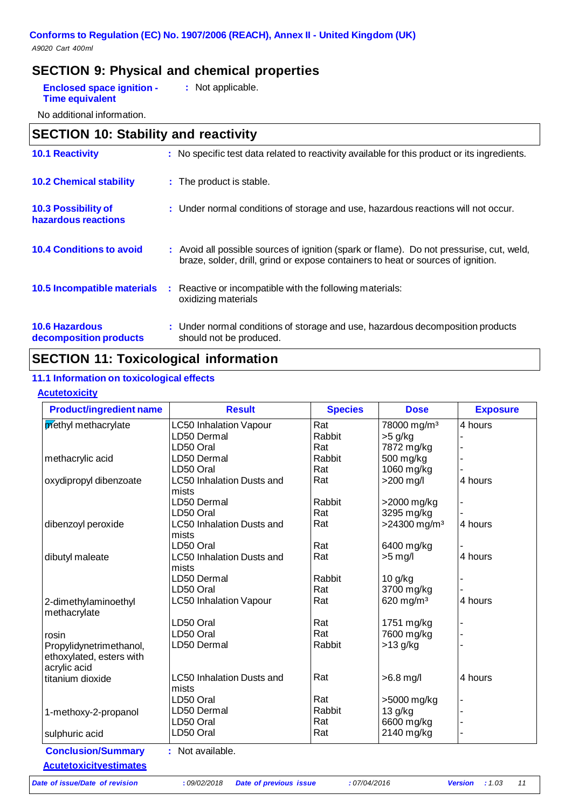### **SECTION 9: Physical and chemical properties**

| <b>Enclosed space ignition -</b> | : Not applicable. |
|----------------------------------|-------------------|
| <b>Time equivalent</b>           |                   |

No additional information.

| <b>SECTION 10: Stability and reactivity</b>       |   |                                                                                                                                                                              |
|---------------------------------------------------|---|------------------------------------------------------------------------------------------------------------------------------------------------------------------------------|
| <b>10.1 Reactivity</b>                            |   | : No specific test data related to reactivity available for this product or its ingredients.                                                                                 |
| <b>10.2 Chemical stability</b>                    |   | : The product is stable.                                                                                                                                                     |
| <b>10.3 Possibility of</b><br>hazardous reactions |   | : Under normal conditions of storage and use, hazardous reactions will not occur.                                                                                            |
| <b>10.4 Conditions to avoid</b>                   |   | : Avoid all possible sources of ignition (spark or flame). Do not pressurise, cut, weld,<br>braze, solder, drill, grind or expose containers to heat or sources of ignition. |
| 10.5 Incompatible materials                       | ÷ | Reactive or incompatible with the following materials:<br>oxidizing materials                                                                                                |
| <b>10.6 Hazardous</b><br>decomposition products   |   | : Under normal conditions of storage and use, hazardous decomposition products<br>should not be produced.                                                                    |

### **SECTION 11: Toxicological information**

#### **11.1 Information on toxicological effects**

#### **Acutetoxicity**

| 78000 mg/m <sup>3</sup><br>Rabbit<br>$>5$ g/kg<br>7872 mg/kg<br>Rabbit<br>500 mg/kg<br>1060 mg/kg<br>$>200$ mg/l<br>Rabbit<br>>2000 mg/kg<br>3295 mg/kg<br>$>24300$ mg/m <sup>3</sup><br>6400 mg/kg<br>$>5$ mg/l | 4 hours<br>4 hours<br>4 hours<br>4 hours       |
|------------------------------------------------------------------------------------------------------------------------------------------------------------------------------------------------------------------|------------------------------------------------|
|                                                                                                                                                                                                                  |                                                |
|                                                                                                                                                                                                                  |                                                |
|                                                                                                                                                                                                                  |                                                |
|                                                                                                                                                                                                                  |                                                |
|                                                                                                                                                                                                                  |                                                |
|                                                                                                                                                                                                                  |                                                |
|                                                                                                                                                                                                                  |                                                |
|                                                                                                                                                                                                                  |                                                |
|                                                                                                                                                                                                                  |                                                |
|                                                                                                                                                                                                                  |                                                |
|                                                                                                                                                                                                                  |                                                |
| Rabbit<br>10 g/kg                                                                                                                                                                                                |                                                |
| 3700 mg/kg                                                                                                                                                                                                       |                                                |
| 620 mg/m $3$                                                                                                                                                                                                     | 4 hours                                        |
| 1751 mg/kg                                                                                                                                                                                                       |                                                |
| 7600 mg/kg                                                                                                                                                                                                       |                                                |
| Rabbit<br>$>13$ g/kg                                                                                                                                                                                             |                                                |
| $>6.8$ mg/l                                                                                                                                                                                                      | 4 hours                                        |
|                                                                                                                                                                                                                  |                                                |
|                                                                                                                                                                                                                  |                                                |
|                                                                                                                                                                                                                  |                                                |
|                                                                                                                                                                                                                  |                                                |
| 2140 mg/kg                                                                                                                                                                                                       |                                                |
|                                                                                                                                                                                                                  | >5000 mg/kg<br>Rabbit<br>13 g/kg<br>6600 mg/kg |

*Date of issue/Date of revision* **:** *09/02/2018 Date of previous issue : 07/04/2016 Version : 1.03 11*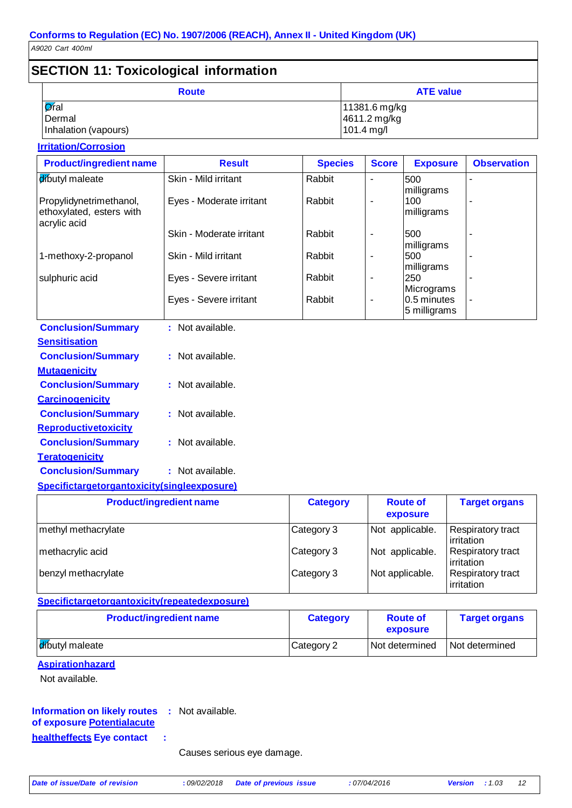#### **SECTION 11: Toxicological information Route ATE** value  $\overline{\mathsf{O}}$ ral Dermal Inhalation (vapours) 11381.6 mg/kg 4611.2 mg/kg 101.4 mg/l

#### **Irritation/Corrosion**

| <b>Result</b>            | <b>Species</b> | <b>Score</b>             | <b>Exposure</b>   | <b>Observation</b>                      |
|--------------------------|----------------|--------------------------|-------------------|-----------------------------------------|
| Skin - Mild irritant     | Rabbit         |                          | 500               |                                         |
| Eyes - Moderate irritant | Rabbit         | ٠                        | 100<br>milligrams |                                         |
| Skin - Moderate irritant | Rabbit         | $\overline{\phantom{a}}$ | 500<br>milligrams |                                         |
| Skin - Mild irritant     | Rabbit         |                          | 500<br>milligrams |                                         |
| Eyes - Severe irritant   | Rabbit         |                          | 250               |                                         |
| Eyes - Severe irritant   | Rabbit         |                          | 5 milligrams      | ٠                                       |
|                          |                |                          |                   | milligrams<br>Micrograms<br>0.5 minutes |

| <b>Conclusion/Summary</b>   | : Not available. |
|-----------------------------|------------------|
| <b>Sensitisation</b>        |                  |
| <b>Conclusion/Summary</b>   | : Not available. |
| <b>Mutagenicity</b>         |                  |
| <b>Conclusion/Summary</b>   | Not available.   |
| <b>Carcinogenicity</b>      |                  |
| <b>Conclusion/Summary</b>   | : Not available. |
| <b>Reproductivetoxicity</b> |                  |
| <b>Conclusion/Summary</b>   | : Not available. |
| <u>Teratogenicity</u>       |                  |
| <b>Conclusion/Summary</b>   | : Not available. |
|                             |                  |

#### **Specifictargetorgantoxicity(singleexposure)**

| <b>Product/ingredient name</b> | <b>Category</b> | <b>Route of</b><br>exposure | <b>Target organs</b>                   |
|--------------------------------|-----------------|-----------------------------|----------------------------------------|
| methyl methacrylate            | Category 3      | Not applicable.             | Respiratory tract<br>irritation        |
| methacrylic acid               | Category 3      | Not applicable.             | <b>Respiratory tract</b><br>irritation |
| benzyl methacrylate            | Category 3      | Not applicable.             | Respiratory tract<br>irritation        |

#### **Specifictargetorgantoxicity(repeatedexposure)**

| <b>Product/ingredient name</b> | <b>Category</b> | <b>Route of</b><br>exposure | <b>Target organs</b> |
|--------------------------------|-----------------|-----------------------------|----------------------|
| dibutyl maleate                | Category 2      | I Not determined            | Not determined       |

#### **Aspirationhazard**

Not available.

#### **Information on likely routes :** Not available. **of exposure Potentialacute**

**healtheffects Eye contact :**

Causes serious eye damage.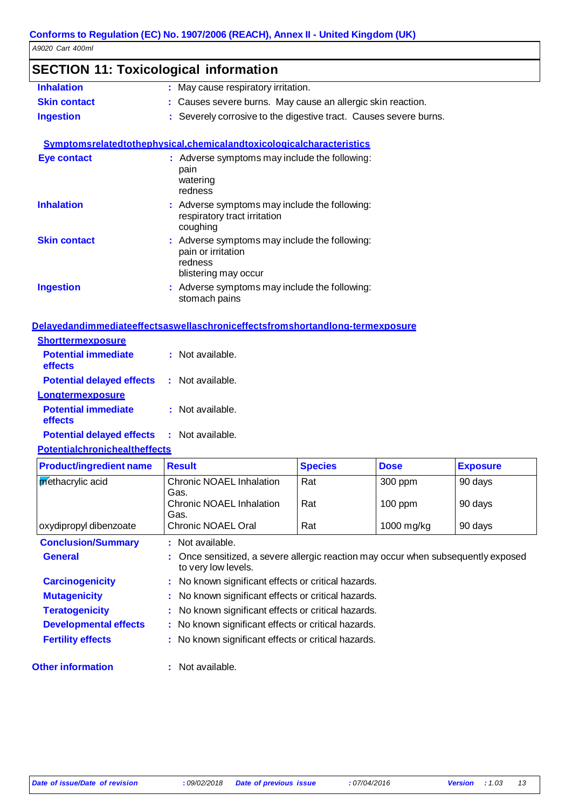### **SECTION 11: Toxicological information**

| <b>Inhalation</b>   | : May cause respiratory irritation.                                  |
|---------------------|----------------------------------------------------------------------|
| <b>Skin contact</b> | : Causes severe burns. May cause an allergic skin reaction.          |
| <b>Ingestion</b>    | : Severely corrosive to the digestive tract. Causes severe burns.    |
|                     | Symptomsrelatedtothephysical.chemicalandtoxicologicalcharacteristics |
| <b>Eye contact</b>  | : Adverse symptoms may include the following:                        |

|                     | pain<br>watering<br>redness                                                                            |
|---------------------|--------------------------------------------------------------------------------------------------------|
| <b>Inhalation</b>   | : Adverse symptoms may include the following:<br>respiratory tract irritation<br>coughing              |
| <b>Skin contact</b> | : Adverse symptoms may include the following:<br>pain or irritation<br>redness<br>blistering may occur |
| <b>Ingestion</b>    | : Adverse symptoms may include the following:<br>stomach pains                                         |

#### **Delayedandimmediateeffectsaswellaschroniceffectsfromshortandlong-termexposure**

| <b>Shorttermexposure</b>              |                  |
|---------------------------------------|------------------|
| <b>Potential immediate</b><br>effects | : Not available. |
| <b>Potential delayed effects</b>      | : Not available. |
| <b>Longtermexposure</b>               |                  |
| <b>Potential immediate</b><br>effects | : Not available. |
| <b>Potential delayed effects</b>      | : Not available. |

#### **Potentialchronichealtheffects**

| <b>Product/ingredient name</b> | <b>Result</b>                                                                                            | <b>Species</b> | <b>Dose</b> | <b>Exposure</b> |
|--------------------------------|----------------------------------------------------------------------------------------------------------|----------------|-------------|-----------------|
| <b>Methacrylic acid</b>        | <b>Chronic NOAEL Inhalation</b><br>Gas.                                                                  | Rat            | 300 ppm     | 90 days         |
|                                | Chronic NOAEL Inhalation<br>Gas.                                                                         | Rat            | $100$ ppm   | 90 days         |
| oxydipropyl dibenzoate         | <b>Chronic NOAEL Oral</b>                                                                                | Rat            | 1000 mg/kg  | 90 days         |
| <b>Conclusion/Summary</b>      | : Not available.                                                                                         |                |             |                 |
| <b>General</b>                 | : Once sensitized, a severe allergic reaction may occur when subsequently exposed<br>to very low levels. |                |             |                 |
| <b>Carcinogenicity</b>         | : No known significant effects or critical hazards.                                                      |                |             |                 |
| <b>Mutagenicity</b>            | : No known significant effects or critical hazards.                                                      |                |             |                 |
| <b>Teratogenicity</b>          | : No known significant effects or critical hazards.                                                      |                |             |                 |
| <b>Developmental effects</b>   | : No known significant effects or critical hazards.                                                      |                |             |                 |
| <b>Fertility effects</b>       | : No known significant effects or critical hazards.                                                      |                |             |                 |

**Other information :** Not available.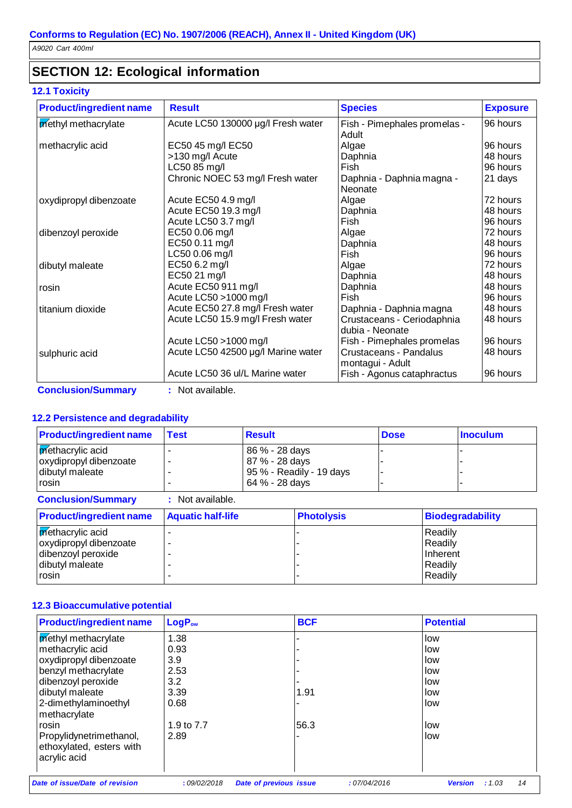### **SECTION 12: Ecological information**

#### **12.1 Toxicity**

| <b>Result</b>                      | <b>Species</b>                                                                            | <b>Exposure</b>                                                                      |
|------------------------------------|-------------------------------------------------------------------------------------------|--------------------------------------------------------------------------------------|
| Acute LC50 130000 µg/l Fresh water | Fish - Pimephales promelas -                                                              | 96 hours                                                                             |
|                                    | Adult                                                                                     |                                                                                      |
| EC50 45 mg/l EC50                  | Algae                                                                                     | 96 hours                                                                             |
|                                    | Daphnia                                                                                   | 48 hours                                                                             |
| LC50 85 mg/l                       | Fish                                                                                      | 96 hours                                                                             |
| Chronic NOEC 53 mg/l Fresh water   | Daphnia - Daphnia magna -                                                                 | 21 days                                                                              |
|                                    | Neonate                                                                                   |                                                                                      |
| Acute EC50 4.9 mg/l                | Algae                                                                                     | 72 hours                                                                             |
| Acute EC50 19.3 mg/l               | Daphnia                                                                                   | 48 hours                                                                             |
| Acute LC50 3.7 mg/l                | Fish                                                                                      | 96 hours                                                                             |
| EC50 0.06 mg/l                     | Algae                                                                                     | 72 hours                                                                             |
| EC50 0.11 mg/l                     |                                                                                           | 48 hours                                                                             |
| LC50 0.06 mg/l                     | Fish                                                                                      | 96 hours                                                                             |
| EC50 6.2 mg/l                      | Algae                                                                                     | 72 hours                                                                             |
| EC50 21 mg/l                       | Daphnia                                                                                   | 48 hours                                                                             |
| Acute EC50 911 mg/l                | Daphnia                                                                                   | 48 hours                                                                             |
| Acute LC50 > 1000 mg/l             | Fish                                                                                      | 96 hours                                                                             |
| Acute EC50 27.8 mg/l Fresh water   |                                                                                           | 48 hours                                                                             |
|                                    | Crustaceans - Ceriodaphnia                                                                | 48 hours                                                                             |
|                                    | dubia - Neonate                                                                           |                                                                                      |
| Acute LC50 > 1000 mg/l             |                                                                                           | 96 hours                                                                             |
|                                    | Crustaceans - Pandalus                                                                    | 48 hours                                                                             |
|                                    |                                                                                           |                                                                                      |
| Acute LC50 36 ul/L Marine water    | Fish - Agonus cataphractus                                                                | 96 hours                                                                             |
|                                    | >130 mg/l Acute<br>Acute LC50 15.9 mg/l Fresh water<br>Acute LC50 42500 µg/l Marine water | Daphnia<br>Daphnia - Daphnia magna<br>Fish - Pimephales promelas<br>montagui - Adult |

**Conclusion/Summary :** Not available.

#### **12.2 Persistence and degradability**

| <b>Product/ingredient name</b>                                                               | <b>Test</b>              | <b>Result</b>                                      |                          | <b>Dose</b> |                                                      | <b>Inoculum</b>         |
|----------------------------------------------------------------------------------------------|--------------------------|----------------------------------------------------|--------------------------|-------------|------------------------------------------------------|-------------------------|
| methacrylic acid<br>oxydipropyl dibenzoate<br>dibutyl maleate<br>rosin                       |                          | 86 % - 28 days<br>87 % - 28 days<br>64 % - 28 days | 95 % - Readily - 19 days |             |                                                      |                         |
| <b>Conclusion/Summary</b>                                                                    | : Not available.         |                                                    |                          |             |                                                      |                         |
| <b>Product/ingredient name</b>                                                               | <b>Aquatic half-life</b> |                                                    | <b>Photolysis</b>        |             |                                                      | <b>Biodegradability</b> |
| methacrylic acid<br>oxydipropyl dibenzoate<br>dibenzoyl peroxide<br>dibutyl maleate<br>rosin |                          |                                                    |                          |             | Readily<br>Readily<br>Inherent<br>Readily<br>Readily |                         |

#### **12.3 Bioaccumulative potential**

| <b>Product/ingredient name</b> | LogP <sub>ow</sub> |                        | <b>BCF</b> |             | <b>Potential</b> |        |    |
|--------------------------------|--------------------|------------------------|------------|-------------|------------------|--------|----|
| methyl methacrylate            | 1.38               |                        |            |             | low              |        |    |
| methacrylic acid               | 0.93               |                        |            |             | low              |        |    |
| oxydipropyl dibenzoate         | 3.9                |                        |            |             | low              |        |    |
| benzyl methacrylate            | 2.53               |                        |            |             | low              |        |    |
| dibenzoyl peroxide             | 3.2                |                        |            |             | low              |        |    |
| dibutyl maleate                | 3.39               |                        | 1.91       |             | low              |        |    |
| 2-dimethylaminoethyl           | 0.68               |                        |            |             | llow             |        |    |
| methacrylate                   |                    |                        |            |             |                  |        |    |
| rosin                          | 1.9 to 7.7         |                        | 56.3       |             | low              |        |    |
| Propylidynetrimethanol,        | 2.89               |                        |            |             | low              |        |    |
| ethoxylated, esters with       |                    |                        |            |             |                  |        |    |
| acrylic acid                   |                    |                        |            |             |                  |        |    |
|                                |                    |                        |            |             |                  |        |    |
| Date of issue/Date of revision | :09/02/2018        | Date of previous issue |            | :07/04/2016 | <b>Version</b>   | : 1.03 | 14 |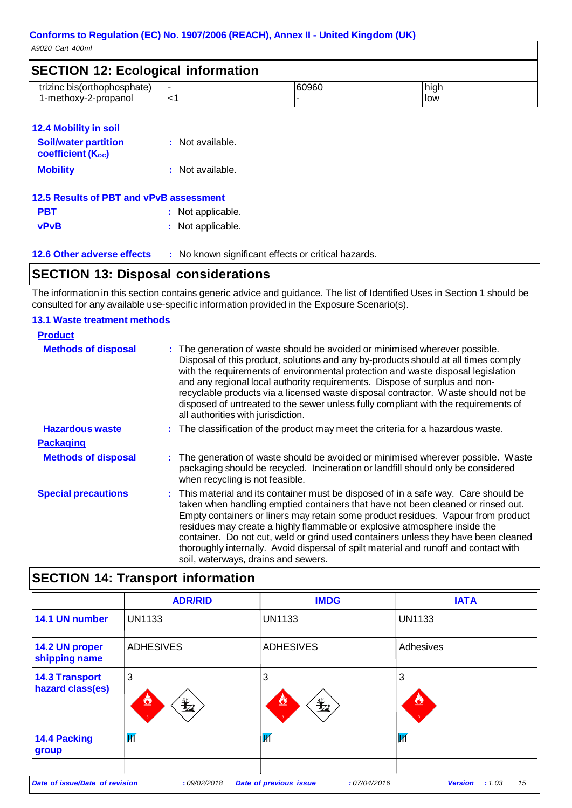| <b>SECTION 12: Ecological information</b>           |  |       |             |
|-----------------------------------------------------|--|-------|-------------|
| trizinc bis(orthophosphate)<br>1-methoxy-2-propanol |  | 60960 | high<br>low |

#### **12.4 Mobility in soil**

| <b>Soil/water partition</b><br><b>coefficient (Koc)</b> | : Not available.  |
|---------------------------------------------------------|-------------------|
| <b>Mobility</b>                                         | : Not available.  |
| 12.5 Results of PBT and vPvB assessment                 |                   |
| <b>PBT</b>                                              | : Not applicable. |

| _____       |                   |
|-------------|-------------------|
| <b>vPvB</b> | : Not applicable. |

**12.6 Other adverse effects :** No known significant effects or critical hazards.

### **SECTION 13: Disposal considerations**

The information in this section contains generic advice and guidance. The list of Identified Uses in Section 1 should be consulted for any available use-specific information provided in the Exposure Scenario(s).

#### **13.1 Waste treatment methods**

| <b>Product</b>             |                                                                                                                                                                                                                                                                                                                                                                                                                                                                                                                                                               |
|----------------------------|---------------------------------------------------------------------------------------------------------------------------------------------------------------------------------------------------------------------------------------------------------------------------------------------------------------------------------------------------------------------------------------------------------------------------------------------------------------------------------------------------------------------------------------------------------------|
| <b>Methods of disposal</b> | : The generation of waste should be avoided or minimised wherever possible.<br>Disposal of this product, solutions and any by-products should at all times comply<br>with the requirements of environmental protection and waste disposal legislation<br>and any regional local authority requirements. Dispose of surplus and non-<br>recyclable products via a licensed waste disposal contractor. Waste should not be<br>disposed of untreated to the sewer unless fully compliant with the requirements of<br>all authorities with jurisdiction.          |
| <b>Hazardous waste</b>     | : The classification of the product may meet the criteria for a hazardous waste.                                                                                                                                                                                                                                                                                                                                                                                                                                                                              |
| <b>Packaging</b>           |                                                                                                                                                                                                                                                                                                                                                                                                                                                                                                                                                               |
| <b>Methods of disposal</b> | : The generation of waste should be avoided or minimised wherever possible. Waste<br>packaging should be recycled. Incineration or landfill should only be considered<br>when recycling is not feasible.                                                                                                                                                                                                                                                                                                                                                      |
| <b>Special precautions</b> | : This material and its container must be disposed of in a safe way. Care should be<br>taken when handling emptied containers that have not been cleaned or rinsed out.<br>Empty containers or liners may retain some product residues. Vapour from product<br>residues may create a highly flammable or explosive atmosphere inside the<br>container. Do not cut, weld or grind used containers unless they have been cleaned<br>thoroughly internally. Avoid dispersal of spilt material and runoff and contact with<br>soil, waterways, drains and sewers. |

### **SECTION 14: Transport information**

|                                                                                                                          | <b>ADR/RID</b>                                                                      | <b>IMDG</b>          | <b>IATA</b>             |
|--------------------------------------------------------------------------------------------------------------------------|-------------------------------------------------------------------------------------|----------------------|-------------------------|
| 14.1 UN number                                                                                                           | <b>UN1133</b>                                                                       | <b>UN1133</b>        | <b>UN1133</b>           |
| 14.2 UN proper<br>shipping name                                                                                          | <b>ADHESIVES</b>                                                                    | <b>ADHESIVES</b>     | Adhesives               |
| <b>14.3 Transport</b><br>hazard class(es)                                                                                | 3<br>$\mathbf{\mathbf{\mathbf{\mathbf{\mathbf{\mathbf{\mathbf{\mathbf{Y}}}}}}$<br>O | 3<br>$\bigstar$<br>◔ | 3<br>w                  |
| 14.4 Packing<br>group                                                                                                    | $\overline{\mathsf{M}}$                                                             | И                    | $\overline{\mathsf{M}}$ |
| Date of issue/Date of revision<br>:09/02/2018<br>Date of previous issue<br>:07/04/2016<br><b>Version</b><br>15<br>: 1.03 |                                                                                     |                      |                         |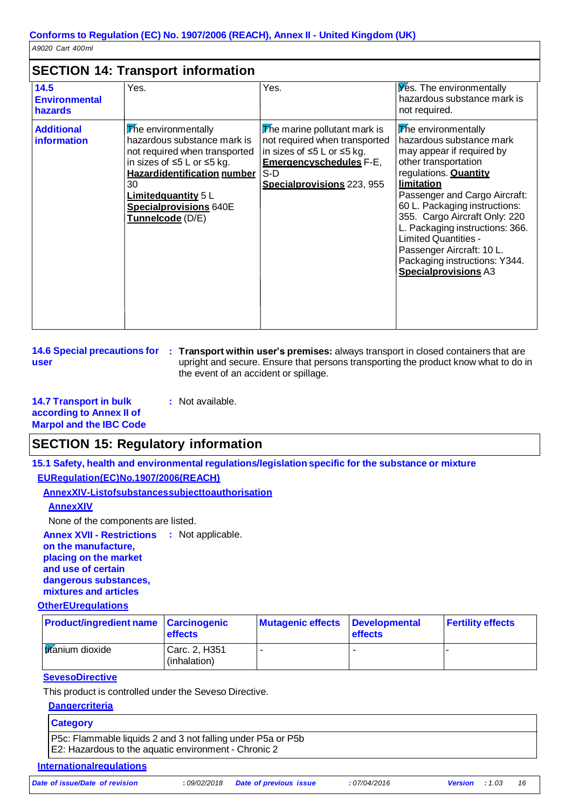### **SECTION 14: Transport information**

|                                                | <u>ULUII IT. IIUIISPUIT IIIUIIIUUUI</u>                                                                                                                                                                                                   |                                                                                                                                                                      |                                                                                                                                                                                                                                                                                                                                                                                                                      |
|------------------------------------------------|-------------------------------------------------------------------------------------------------------------------------------------------------------------------------------------------------------------------------------------------|----------------------------------------------------------------------------------------------------------------------------------------------------------------------|----------------------------------------------------------------------------------------------------------------------------------------------------------------------------------------------------------------------------------------------------------------------------------------------------------------------------------------------------------------------------------------------------------------------|
| 14.5<br><b>Environmental</b><br><b>hazards</b> | Yes.                                                                                                                                                                                                                                      | Yes.                                                                                                                                                                 | Yes. The environmentally<br>hazardous substance mark is<br>not required.                                                                                                                                                                                                                                                                                                                                             |
| <b>Additional</b><br><b>information</b>        | The environmentally<br>hazardous substance mark is<br>not required when transported<br>in sizes of ≤5 L or ≤5 kg.<br><b>Hazardidentification number</b><br>30<br>Limitedquantity 5 L<br><b>Specialprovisions 640E</b><br>Tunnelcode (D/E) | The marine pollutant mark is<br>not required when transported<br>in sizes of ≤5 L or ≤5 kg.<br><b>Emergencyschedules F-E,</b><br>$S-D$<br>Specialprovisions 223, 955 | The environmentally<br>hazardous substance mark<br>may appear if required by<br>other transportation<br>regulations. <b>Quantity</b><br>limitation<br>Passenger and Cargo Aircraft:<br>60 L. Packaging instructions:<br>355. Cargo Aircraft Only: 220<br>L. Packaging instructions: 366.<br><b>Limited Quantities -</b><br>Passenger Aircraft: 10 L.<br>Packaging instructions: Y344.<br><b>Specialprovisions A3</b> |

**14.6 Special precautions for : Transport within user's premises:** always transport in closed containers that are **user** upright and secure. Ensure that persons transporting the product know what to do in the event of an accident or spillage.

#### **14.7 Transport in bulk according to Annex II of Marpol and the IBC Code :** Not available.

### **SECTION 15: Regulatory information**

**15.1 Safety, health and environmental regulations/legislation specific for the substance or mixture**

#### **EURegulation(EC)No.1907/2006(REACH)**

**AnnexXIV-Listofsubstancessubjecttoauthorisation**

#### **AnnexXIV**

None of the components are listed.

**Annex XVII - Restrictions :** Not applicable. **on the manufacture, placing on the market and use of certain dangerous substances, mixtures and articles**

#### **OtherEUregulations**

| <b>Product/ingredient name Carcinogenic</b> | <b>effects</b>                | Mutagenic effects Developmental | <b>effects</b> | <b>Fertility effects</b> |
|---------------------------------------------|-------------------------------|---------------------------------|----------------|--------------------------|
| titanium dioxide                            | Carc. 2, H351<br>(inhalation) |                                 |                |                          |

#### **SevesoDirective**

This product is controlled under the Seveso Directive.

**Dangercriteria**

#### **Category**

P5c: Flammable liquids 2 and 3 not falling under P5a or P5b E2: Hazardous to the aquatic environment - Chronic 2

#### **Internationalregulations**

*Date of issue/Date of revision* **:** *09/02/2018 Date of previous issue : 07/04/2016 Version : 1.03 16*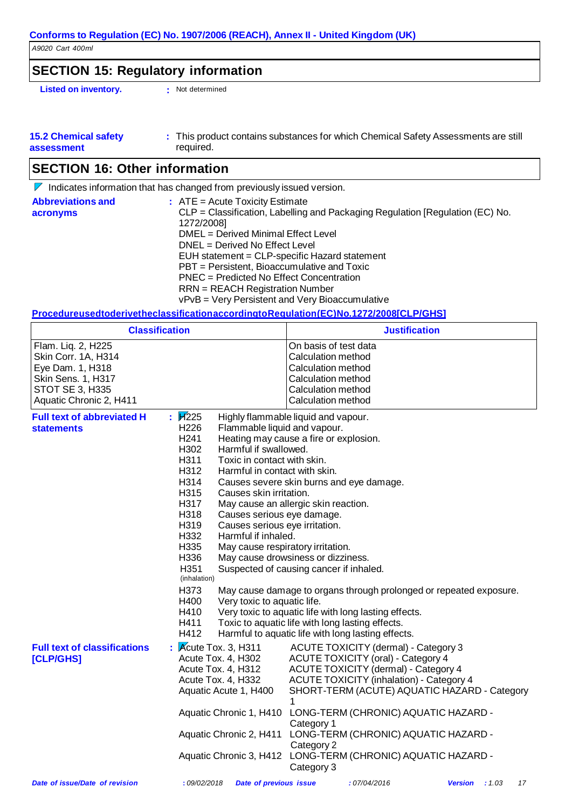### **SECTION 15: Regulatory information**

**Listed on inventory. :** Not determined

| <b>15.2 Chemical safety</b> | This product contains substances for which Chemical Safety Assessments are still |  |
|-----------------------------|----------------------------------------------------------------------------------|--|
| assessment                  | required.                                                                        |  |

### **SECTION 16: Other information**

 $\nabla$  Indicates information that has changed from previously issued version.

| <b>Abbreviations and</b> | $\therefore$ ATE = Acute Toxicity Estimate                                    |
|--------------------------|-------------------------------------------------------------------------------|
| acronyms                 | CLP = Classification, Labelling and Packaging Regulation [Regulation (EC) No. |
|                          | 1272/2008]                                                                    |
|                          | DMEL = Derived Minimal Effect Level                                           |
|                          | $DNEL = Derived No Effect Level$                                              |
|                          | EUH statement = CLP-specific Hazard statement                                 |
|                          | PBT = Persistent, Bioaccumulative and Toxic                                   |
|                          | PNEC = Predicted No Effect Concentration                                      |
|                          | <b>RRN</b> = REACH Registration Number                                        |
|                          | vPvB = Very Persistent and Very Bioaccumulative                               |

#### **ProcedureusedtoderivetheclassificationaccordingtoRegulation(EC)No.1272/2008[CLP/GHS]**

| <b>Classification</b>                                                                                                                           |                                                                                                                                                                                                                                                                                                                                                                                                                                                                                                         | <b>Justification</b>                                                                                                                                                                                                                                                                                                                                                                                                                                                                                                             |                               |
|-------------------------------------------------------------------------------------------------------------------------------------------------|---------------------------------------------------------------------------------------------------------------------------------------------------------------------------------------------------------------------------------------------------------------------------------------------------------------------------------------------------------------------------------------------------------------------------------------------------------------------------------------------------------|----------------------------------------------------------------------------------------------------------------------------------------------------------------------------------------------------------------------------------------------------------------------------------------------------------------------------------------------------------------------------------------------------------------------------------------------------------------------------------------------------------------------------------|-------------------------------|
| Flam. Liq. 2, H225<br>Skin Corr. 1A, H314<br>Eye Dam. 1, H318<br><b>Skin Sens. 1, H317</b><br><b>STOT SE 3, H335</b><br>Aquatic Chronic 2, H411 |                                                                                                                                                                                                                                                                                                                                                                                                                                                                                                         | On basis of test data<br>Calculation method<br>Calculation method<br>Calculation method<br>Calculation method<br>Calculation method                                                                                                                                                                                                                                                                                                                                                                                              |                               |
| <b>Full text of abbreviated H</b><br><b>statements</b>                                                                                          | $\mathbf{F}$ $\mathbf{F}$ 225<br>H <sub>226</sub><br>Flammable liquid and vapour.<br>H <sub>241</sub><br>H302<br>Harmful if swallowed.<br>H311<br>Toxic in contact with skin.<br>H312<br>Harmful in contact with skin.<br>H314<br>H315<br>Causes skin irritation.<br>H317<br>H318<br>Causes serious eye damage.<br>H319<br>Causes serious eye irritation.<br>H332<br>Harmful if inhaled.<br>H335<br>H336<br>H351<br>(inhalation)<br>H373<br>Very toxic to aquatic life.<br>H400<br>H410<br>H411<br>H412 | Highly flammable liquid and vapour.<br>Heating may cause a fire or explosion.<br>Causes severe skin burns and eye damage.<br>May cause an allergic skin reaction.<br>May cause respiratory irritation.<br>May cause drowsiness or dizziness.<br>Suspected of causing cancer if inhaled.<br>May cause damage to organs through prolonged or repeated exposure.<br>Very toxic to aquatic life with long lasting effects.<br>Toxic to aquatic life with long lasting effects.<br>Harmful to aquatic life with long lasting effects. |                               |
| <b>Full text of classifications</b><br>[CLP/GHS]                                                                                                | $\frac{1}{2}$ <i>K</i> cute Tox. 3, H311<br>Acute Tox. 4, H302<br>Acute Tox. 4, H312<br>Acute Tox. 4, H332<br>Aquatic Acute 1, H400                                                                                                                                                                                                                                                                                                                                                                     | ACUTE TOXICITY (dermal) - Category 3<br><b>ACUTE TOXICITY (oral) - Category 4</b><br><b>ACUTE TOXICITY (dermal) - Category 4</b><br><b>ACUTE TOXICITY (inhalation) - Category 4</b><br>SHORT-TERM (ACUTE) AQUATIC HAZARD - Category<br>1<br>Aquatic Chronic 1, H410 LONG-TERM (CHRONIC) AQUATIC HAZARD -<br>Category 1<br>Aquatic Chronic 2, H411 LONG-TERM (CHRONIC) AQUATIC HAZARD -<br>Category 2<br>Aquatic Chronic 3, H412 LONG-TERM (CHRONIC) AQUATIC HAZARD -<br>Category 3                                               |                               |
| Date of issue/Date of revision                                                                                                                  | :09/02/2018<br><b>Date of previous issue</b>                                                                                                                                                                                                                                                                                                                                                                                                                                                            | :07/04/2016                                                                                                                                                                                                                                                                                                                                                                                                                                                                                                                      | <b>Version</b> : $1.03$<br>17 |